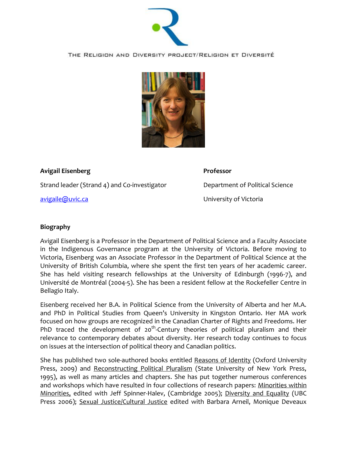

THE RELIGION AND DIVERSITY PROJECT/RELIGION ET DIVERSITÉ



## **Avigail Eisenberg Professor**

Strand leader (Strand 4) and Co-investigator Department of Political Science

[avigaile@uvic.ca](mailto:avigaile@uvic.ca) University of Victoria

## **Biography**

Avigail Eisenberg is a Professor in the Department of Political Science and a Faculty Associate in the Indigenous Governance program at the University of Victoria. Before moving to Victoria, Eisenberg was an Associate Professor in the Department of Political Science at the University of British Columbia, where she spent the first ten years of her academic career. She has held visiting research fellowships at the University of Edinburgh (1996-7), and Université de Montréal (2004-5). She has been a resident fellow at the Rockefeller Centre in Bellagio Italy.

Eisenberg received her B.A. in Political Science from the University of Alberta and her M.A. and PhD in Political Studies from Queen's University in Kingston Ontario. Her MA work focused on how groups are recognized in the Canadian Charter of Rights and Freedoms. Her PhD traced the development of  $20<sup>th</sup>$ -Century theories of political pluralism and their relevance to contemporary debates about diversity. Her research today continues to focus on issues at the intersection of political theory and Canadian politics.

She has published two sole-authored books entitled Reasons of Identity (Oxford University Press, 2009) and Reconstructing Political Pluralism (State University of New York Press, 1995), as well as many articles and chapters. She has put together numerous conferences and workshops which have resulted in four collections of research papers: Minorities within Minorities, edited with Jeff Spinner-Halev, (Cambridge 2005); Diversity and Equality (UBC Press 2006); Sexual Justice/Cultural Justice edited with Barbara Arneil, Monique Deveaux